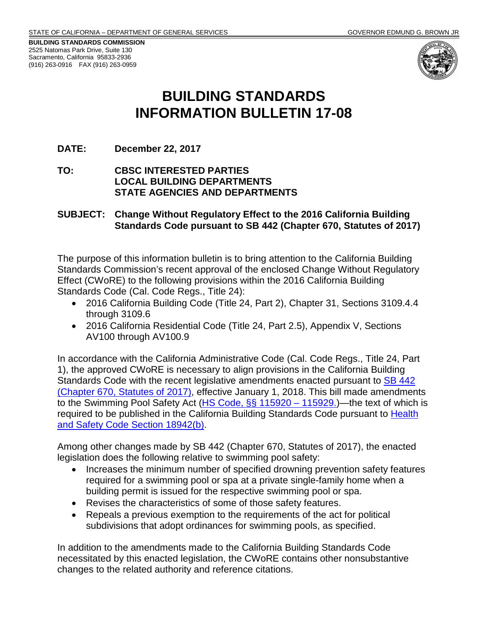**BUILDING STANDARDS COMMISSION** 2525 Natomas Park Drive, Suite 130 Sacramento, California 95833-2936 (916) 263-0916 FAX (916) 263-0959



# **BUILDING STANDARDS INFORMATION BULLETIN 17-08**

# **DATE: December 22, 2017**

# **TO: CBSC INTERESTED PARTIES LOCAL BUILDING DEPARTMENTS STATE AGENCIES AND DEPARTMENTS**

# **SUBJECT: Change Without Regulatory Effect to the 2016 California Building Standards Code pursuant to SB 442 (Chapter 670, Statutes of 2017)**

The purpose of this information bulletin is to bring attention to the California Building Standards Commission's recent approval of the enclosed Change Without Regulatory Effect (CWoRE) to the following provisions within the 2016 California Building Standards Code (Cal. Code Regs., Title 24):

- 2016 California Building Code (Title 24, Part 2), Chapter 31, Sections 3109.4.4 through 3109.6
- 2016 California Residential Code (Title 24, Part 2.5), Appendix V, Sections AV100 through AV100.9

In accordance with the California Administrative Code (Cal. Code Regs., Title 24, Part 1), the approved CWoRE is necessary to align provisions in the California Building Standards Code with the recent legislative amendments enacted pursuant to [SB 442](http://leginfo.legislature.ca.gov/faces/billNavClient.xhtml?bill_id=201720180SB442)  [\(Chapter 670, Statutes of 2017\),](http://leginfo.legislature.ca.gov/faces/billNavClient.xhtml?bill_id=201720180SB442) effective January 1, 2018. This bill made amendments to the Swimming Pool Safety Act (HS [Code, §§ 115920 –](http://leginfo.legislature.ca.gov/faces/codes_displayText.xhtml?division=104.&chapter=5.&part=10.&lawCode=HSC&article=2.5.) 115929.)—the text of which is required to be published in the California Building Standards Code pursuant to [Health](http://leginfo.legislature.ca.gov/faces/codes_displaySection.xhtml?sectionNum=18942.&lawCode=HSC)  [and Safety Code Section 18942\(b\).](http://leginfo.legislature.ca.gov/faces/codes_displaySection.xhtml?sectionNum=18942.&lawCode=HSC)

Among other changes made by SB 442 (Chapter 670, Statutes of 2017), the enacted legislation does the following relative to swimming pool safety:

- Increases the minimum number of specified drowning prevention safety features required for a swimming pool or spa at a private single-family home when a building permit is issued for the respective swimming pool or spa.
- Revises the characteristics of some of those safety features.
- Repeals a previous exemption to the requirements of the act for political subdivisions that adopt ordinances for swimming pools, as specified.

In addition to the amendments made to the California Building Standards Code necessitated by this enacted legislation, the CWoRE contains other nonsubstantive changes to the related authority and reference citations.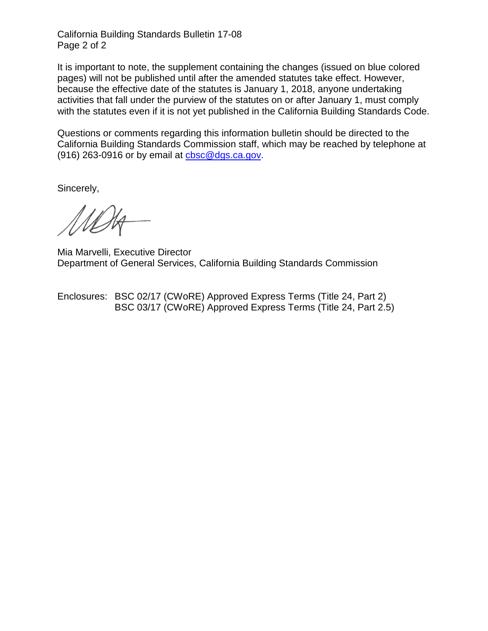California Building Standards Bulletin 17-08 Page 2 of 2

It is important to note, the supplement containing the changes (issued on blue colored pages) will not be published until after the amended statutes take effect. However, because the effective date of the statutes is January 1, 2018, anyone undertaking activities that fall under the purview of the statutes on or after January 1, must comply with the statutes even if it is not yet published in the California Building Standards Code.

Questions or comments regarding this information bulletin should be directed to the California Building Standards Commission staff, which may be reached by telephone at (916) 263-0916 or by email at [cbsc@dgs.ca.gov.](mailto:cbsc@dgs.ca.gov)

Sincerely,

Mia Marvelli, Executive Director Department of General Services, California Building Standards Commission

Enclosures: BSC 02/17 (CWoRE) Approved Express Terms (Title 24, Part 2) BSC 03/17 (CWoRE) Approved Express Terms (Title 24, Part 2.5)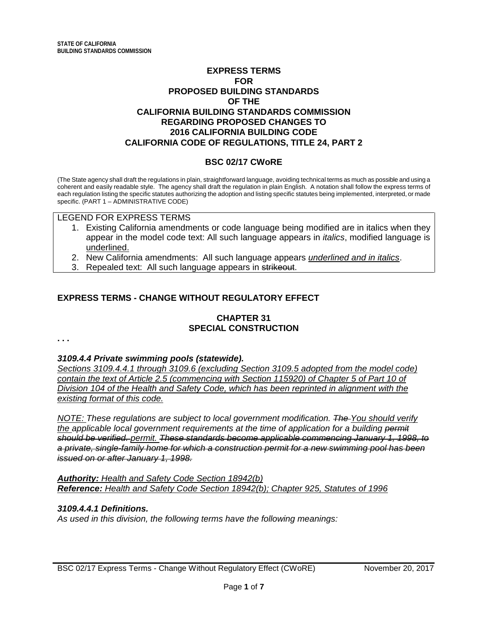# **EXPRESS TERMS FOR PROPOSED BUILDING STANDARDS OF THE CALIFORNIA BUILDING STANDARDS COMMISSION REGARDING PROPOSED CHANGES TO 2016 CALIFORNIA BUILDING CODE CALIFORNIA CODE OF REGULATIONS, TITLE 24, PART 2**

# **BSC 02/17 CWoRE**

(The State agency shall draft the regulations in plain, straightforward language, avoiding technical terms as much as possible and using a coherent and easily readable style. The agency shall draft the regulation in plain English. A notation shall follow the express terms of each regulation listing the specific statutes authorizing the adoption and listing specific statutes being implemented, interpreted, or made specific. (PART 1 – ADMINISTRATIVE CODE)

#### LEGEND FOR EXPRESS TERMS

- 1. Existing California amendments or code language being modified are in italics when they appear in the model code text: All such language appears in *italics*, modified language is underlined.
- 2. New California amendments: All such language appears *underlined and in italics*.
- 3. Repealed text: All such language appears in strikeout.

# **EXPRESS TERMS - CHANGE WITHOUT REGULATORY EFFECT**

# **CHAPTER 31 SPECIAL CONSTRUCTION**

**. . .**

#### *3109.4.4 Private swimming pools (statewide).*

*Sections 3109.4.4.1 through 3109.6 (excluding Section 3109.5 adopted from the model code) contain the text of Article 2.5 (commencing with Section 115920) of Chapter 5 of Part 10 of Division 104 of the Health and Safety Code, which has been reprinted in alignment with the existing format of this code.*

*NOTE: These regulations are subject to local government modification. The You should verify the applicable local government requirements at the time of application for a building permit should be verified. permit. These standards become applicable commencing January 1, 1998, to a private, single-family home for which a construction permit for a new swimming pool has been issued on or after January 1, 1998.*

*Authority: Health and Safety Code Section 18942(b) Reference: Health and Safety Code Section 18942(b); Chapter 925, Statutes of 1996*

## *3109.4.4.1 Definitions.*

*As used in this division, the following terms have the following meanings:*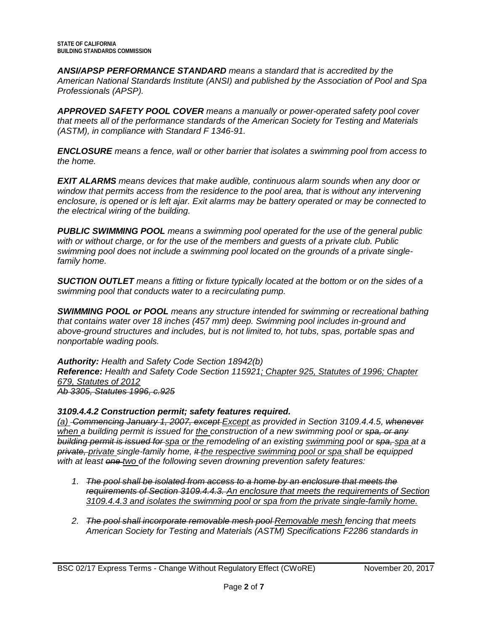*ANSI/APSP PERFORMANCE STANDARD means a standard that is accredited by the American National Standards Institute (ANSI) and published by the Association of Pool and Spa Professionals (APSP).*

*APPROVED SAFETY POOL COVER means a manually or power-operated safety pool cover that meets all of the performance standards of the American Society for Testing and Materials (ASTM), in compliance with Standard F 1346-91.*

*ENCLOSURE means a fence, wall or other barrier that isolates a swimming pool from access to the home.*

*EXIT ALARMS means devices that make audible, continuous alarm sounds when any door or window that permits access from the residence to the pool area, that is without any intervening enclosure, is opened or is left ajar. Exit alarms may be battery operated or may be connected to the electrical wiring of the building.*

*PUBLIC SWIMMING POOL means a swimming pool operated for the use of the general public with or without charge, or for the use of the members and guests of a private club. Public swimming pool does not include a swimming pool located on the grounds of a private singlefamily home.*

*SUCTION OUTLET means a fitting or fixture typically located at the bottom or on the sides of a swimming pool that conducts water to a recirculating pump.*

*SWIMMING POOL or POOL means any structure intended for swimming or recreational bathing that contains water over 18 inches (457 mm) deep. Swimming pool includes in-ground and above-ground structures and includes, but is not limited to, hot tubs, spas, portable spas and nonportable wading pools.*

*Authority: Health and Safety Code Section 18942(b) Reference: Health and Safety Code Section 115921; Chapter 925, Statutes of 1996; Chapter 679, Statutes of 2012 Ab 3305, Statutes 1996, c.925*

# *3109.4.4.2 Construction permit; safety features required.*

*(a) Commencing January 1, 2007, except Except as provided in Section 3109.4.4.5, whenever when a building permit is issued for the construction of a new swimming pool or spa, or any building permit is issued for spa or the remodeling of an existing swimming pool or spa, spa at a private, private single-family home, it the respective swimming pool or spa shall be equipped with at least one two of the following seven drowning prevention safety features:*

- *1. The pool shall be isolated from access to a home by an enclosure that meets the requirements of Section 3109.4.4.3. An enclosure that meets the requirements of Section 3109.4.4.3 and isolates the swimming pool or spa from the private single-family home.*
- *2. The pool shall incorporate removable mesh pool Removable mesh fencing that meets American Society for Testing and Materials (ASTM) Specifications F2286 standards in*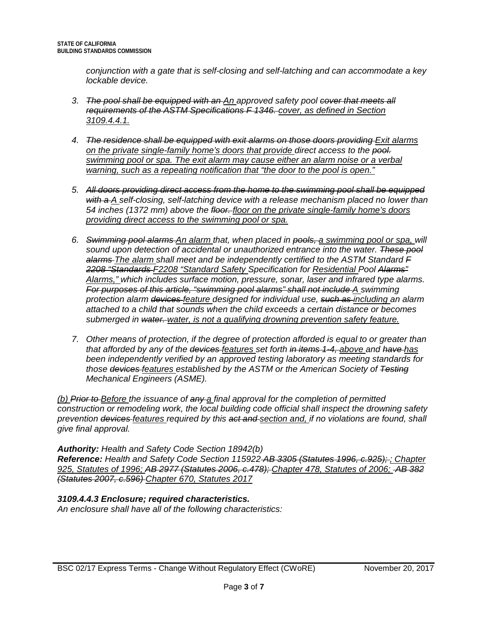*conjunction with a gate that is self-closing and self-latching and can accommodate a key lockable device.*

- *3. The pool shall be equipped with an An approved safety pool cover that meets all requirements of the ASTM Specifications F 1346. cover, as defined in Section 3109.4.4.1.*
- *4. The residence shall be equipped with exit alarms on those doors providing Exit alarms on the private single-family home's doors that provide direct access to the pool. swimming pool or spa. The exit alarm may cause either an alarm noise or a verbal warning, such as a repeating notification that "the door to the pool is open."*
- *5. All doors providing direct access from the home to the swimming pool shall be equipped with a A self-closing, self-latching device with a release mechanism placed no lower than 54 inches (1372 mm) above the floor. floor on the private single-family home's doors providing direct access to the swimming pool or spa.*
- *6. Swimming pool alarms An alarm that, when placed in pools, a swimming pool or spa, will sound upon detection of accidental or unauthorized entrance into the water. These pool alarms The alarm shall meet and be independently certified to the ASTM Standard F 2208 "Standards F2208 "Standard Safety Specification for Residential Pool Alarms" Alarms," which includes surface motion, pressure, sonar, laser and infrared type alarms. For purposes of this article, "swimming pool alarms" shall not include A swimming protection alarm devices feature designed for individual use, such as including an alarm attached to a child that sounds when the child exceeds a certain distance or becomes submerged in water. water, is not a qualifying drowning prevention safety feature.*
- *7. Other means of protection, if the degree of protection afforded is equal to or greater than that afforded by any of the devices features set forth in items 1-4, above and have has been independently verified by an approved testing laboratory as meeting standards for those devices features established by the ASTM or the American Society of Testing Mechanical Engineers (ASME).*

*(b) Prior to Before the issuance of any a final approval for the completion of permitted construction or remodeling work, the local building code official shall inspect the drowning safety prevention devices features required by this act and section and, if no violations are found, shall give final approval.*

*Authority: Health and Safety Code Section 18942(b) Reference: Health and Safety Code Section 115922 AB 3305 (Statutes 1996, c.925); ; Chapter 925, Statutes of 1996; AB 2977 (Statutes 2006, c.478); Chapter 478, Statutes of 2006; AB 382 (Statutes 2007, c.596) Chapter 670, Statutes 2017*

# *3109.4.4.3 Enclosure; required characteristics.*

*An enclosure shall have all of the following characteristics:*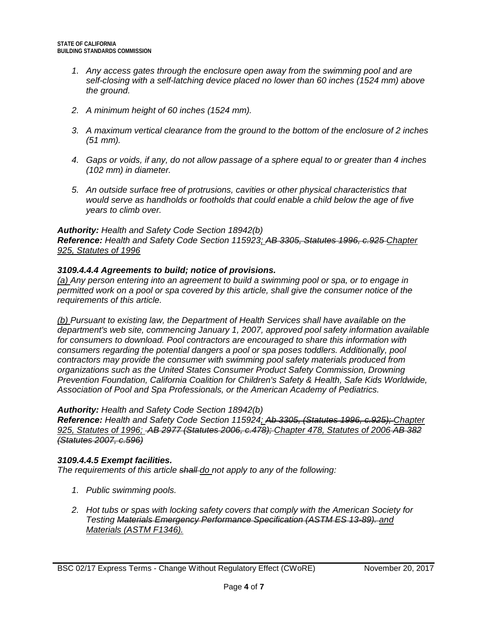- *1. Any access gates through the enclosure open away from the swimming pool and are self-closing with a self-latching device placed no lower than 60 inches (1524 mm) above the ground.*
- *2. A minimum height of 60 inches (1524 mm).*
- *3. A maximum vertical clearance from the ground to the bottom of the enclosure of 2 inches (51 mm).*
- *4. Gaps or voids, if any, do not allow passage of a sphere equal to or greater than 4 inches (102 mm) in diameter.*
- *5. An outside surface free of protrusions, cavities or other physical characteristics that would serve as handholds or footholds that could enable a child below the age of five years to climb over.*

*Reference: Health and Safety Code Section 115923; AB 3305, Statutes 1996, c.925 Chapter 925, Statutes of 1996*

# *3109.4.4.4 Agreements to build; notice of provisions.*

*(a) Any person entering into an agreement to build a swimming pool or spa, or to engage in permitted work on a pool or spa covered by this article, shall give the consumer notice of the requirements of this article.*

*(b) Pursuant to existing law, the Department of Health Services shall have available on the department's web site, commencing January 1, 2007, approved pool safety information available for consumers to download. Pool contractors are encouraged to share this information with consumers regarding the potential dangers a pool or spa poses toddlers. Additionally, pool contractors may provide the consumer with swimming pool safety materials produced from organizations such as the United States Consumer Product Safety Commission, Drowning Prevention Foundation, California Coalition for Children's Safety & Health, Safe Kids Worldwide, Association of Pool and Spa Professionals, or the American Academy of Pediatrics.*

# *Authority: Health and Safety Code Section 18942(b)*

*Reference: Health and Safety Code Section 115924; Ab 3305, (Statutes 1996, c.925); Chapter 925, Statutes of 1996; AB 2977 (Statutes 2006, c.478); Chapter 478, Statutes of 2006 AB 382 (Statutes 2007, c.596)* 

# *3109.4.4.5 Exempt facilities.*

*The requirements of this article shall do not apply to any of the following:*

- *1. Public swimming pools.*
- *2. Hot tubs or spas with locking safety covers that comply with the American Society for Testing Materials Emergency Performance Specification (ASTM ES 13-89). and Materials (ASTM F1346).*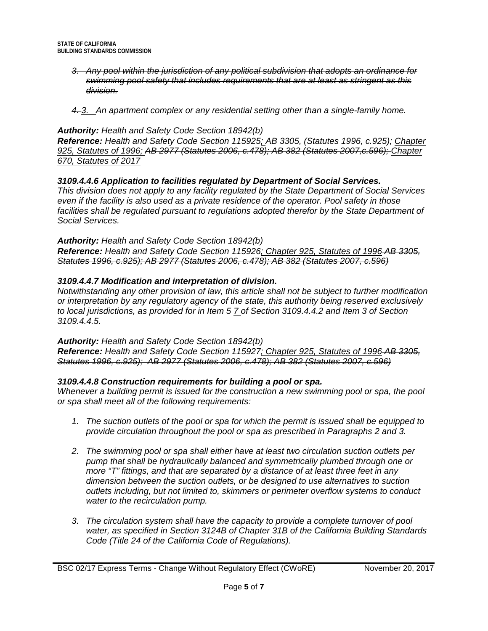- *3. Any pool within the jurisdiction of any political subdivision that adopts an ordinance for swimming pool safety that includes requirements that are at least as stringent as this division.*
- *4. 3. An apartment complex or any residential setting other than a single-family home.*

*Reference: Health and Safety Code Section 115925; AB 3305, (Statutes 1996, c.925); Chapter 925, Statutes of 1996; AB 2977 (Statutes 2006, c.478); AB 382 (Statutes 2007,c.596); Chapter 670, Statutes of 2017*

# *3109.4.4.6 Application to facilities regulated by Department of Social Services.*

*This division does not apply to any facility regulated by the State Department of Social Services even if the facility is also used as a private residence of the operator. Pool safety in those*  facilities shall be regulated pursuant to regulations adopted therefor by the State Department of *Social Services.*

#### *Authority: Health and Safety Code Section 18942(b)* **Reference:** Health and Safety Code Section 115926; Chapter 925, Statutes of 1996-AB 3305, *Statutes 1996, c.925); AB 2977 (Statutes 2006, c.478); AB 382 (Statutes 2007, c.596)*

## *3109.4.4.7 Modification and interpretation of division.*

*Notwithstanding any other provision of law, this article shall not be subject to further modification or interpretation by any regulatory agency of the state, this authority being reserved exclusively to local jurisdictions, as provided for in Item 5 7 of Section 3109.4.4.2 and Item 3 of Section 3109.4.4.5.*

#### *Authority: Health and Safety Code Section 18942(b)*

**Reference:** Health and Safety Code Section 115927; Chapter 925, Statutes of 1996-AB 3305, *Statutes 1996, c.925); AB 2977 (Statutes 2006, c.478); AB 382 (Statutes 2007, c.596)*

# *3109.4.4.8 Construction requirements for building a pool or spa.*

*Whenever a building permit is issued for the construction a new swimming pool or spa, the pool or spa shall meet all of the following requirements:*

- *1. The suction outlets of the pool or spa for which the permit is issued shall be equipped to provide circulation throughout the pool or spa as prescribed in Paragraphs 2 and 3.*
- *2. The swimming pool or spa shall either have at least two circulation suction outlets per pump that shall be hydraulically balanced and symmetrically plumbed through one or more "T" fittings, and that are separated by a distance of at least three feet in any dimension between the suction outlets, or be designed to use alternatives to suction outlets including, but not limited to, skimmers or perimeter overflow systems to conduct water to the recirculation pump.*
- *3. The circulation system shall have the capacity to provide a complete turnover of pool water, as specified in Section 3124B of Chapter 31B of the California Building Standards Code (Title 24 of the California Code of Regulations).*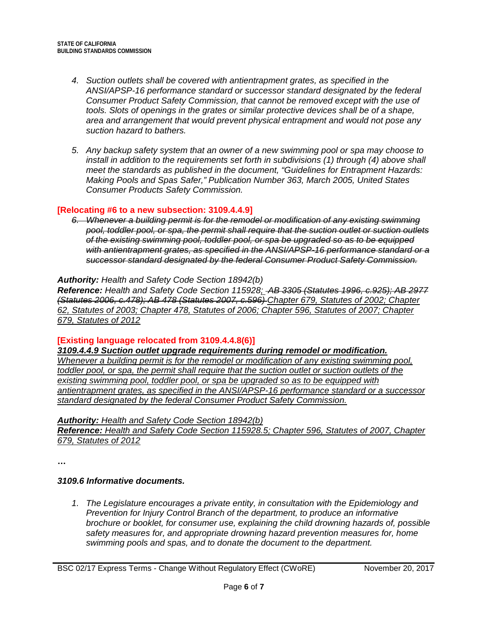- *4. Suction outlets shall be covered with antientrapment grates, as specified in the ANSI/APSP-16 performance standard or successor standard designated by the federal Consumer Product Safety Commission, that cannot be removed except with the use of tools. Slots of openings in the grates or similar protective devices shall be of a shape, area and arrangement that would prevent physical entrapment and would not pose any suction hazard to bathers.*
- *5. Any backup safety system that an owner of a new swimming pool or spa may choose to install in addition to the requirements set forth in subdivisions (1) through (4) above shall meet the standards as published in the document, "Guidelines for Entrapment Hazards: Making Pools and Spas Safer," Publication Number 363, March 2005, United States Consumer Products Safety Commission.*

#### **[Relocating #6 to a new subsection: 3109.4.4.9]**

*6. Whenever a building permit is for the remodel or modification of any existing swimming pool, toddler pool, or spa, the permit shall require that the suction outlet or suction outlets of the existing swimming pool, toddler pool, or spa be upgraded so as to be equipped with antientrapment grates, as specified in the ANSI/APSP-16 performance standard or a successor standard designated by the federal Consumer Product Safety Commission.*

## *Authority: Health and Safety Code Section 18942(b)*

*Reference: Health and Safety Code Section 115928; AB 3305 (Statutes 1996, c.925); AB 2977 (Statutes 2006, c.478); AB 478 (Statutes 2007, c.596) Chapter 679, Statutes of 2002; Chapter 62, Statutes of 2003; Chapter 478, Statutes of 2006; Chapter 596, Statutes of 2007; Chapter 679, Statutes of 2012*

# **[Existing language relocated from 3109.4.4.8(6)]**

*3109.4.4.9 Suction outlet upgrade requirements during remodel or modification. Whenever a building permit is for the remodel or modification of any existing swimming pool, toddler pool, or spa, the permit shall require that the suction outlet or suction outlets of the existing swimming pool, toddler pool, or spa be upgraded so as to be equipped with antientrapment grates, as specified in the ANSI/APSP-16 performance standard or a successor standard designated by the federal Consumer Product Safety Commission.*

#### *Authority: Health and Safety Code Section 18942(b)*

*Reference: Health and Safety Code Section 115928.5; Chapter 596, Statutes of 2007, Chapter 679, Statutes of 2012*

**…**

# *3109.6 Informative documents.*

*1. The Legislature encourages a private entity, in consultation with the Epidemiology and Prevention for Injury Control Branch of the department, to produce an informative brochure or booklet, for consumer use, explaining the child drowning hazards of, possible safety measures for, and appropriate drowning hazard prevention measures for, home swimming pools and spas, and to donate the document to the department.*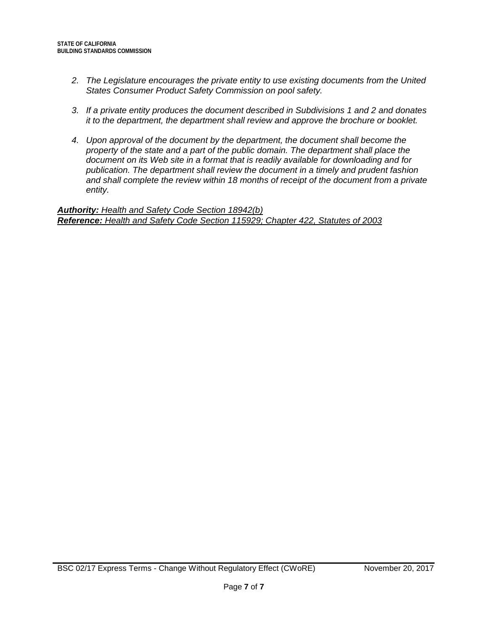- *2. The Legislature encourages the private entity to use existing documents from the United States Consumer Product Safety Commission on pool safety.*
- *3. If a private entity produces the document described in Subdivisions 1 and 2 and donates it to the department, the department shall review and approve the brochure or booklet.*
- *4. Upon approval of the document by the department, the document shall become the property of the state and a part of the public domain. The department shall place the document on its Web site in a format that is readily available for downloading and for publication. The department shall review the document in a timely and prudent fashion and shall complete the review within 18 months of receipt of the document from a private entity.*

*Authority: Health and Safety Code Section 18942(b) Reference: Health and Safety Code Section 115929; Chapter 422, Statutes of 2003*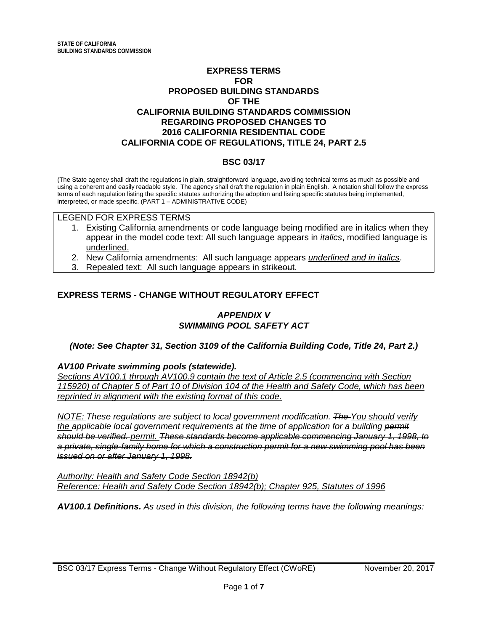# **EXPRESS TERMS FOR PROPOSED BUILDING STANDARDS OF THE CALIFORNIA BUILDING STANDARDS COMMISSION REGARDING PROPOSED CHANGES TO 2016 CALIFORNIA RESIDENTIAL CODE CALIFORNIA CODE OF REGULATIONS, TITLE 24, PART 2.5**

# **BSC 03/17**

(The State agency shall draft the regulations in plain, straightforward language, avoiding technical terms as much as possible and using a coherent and easily readable style. The agency shall draft the regulation in plain English. A notation shall follow the express terms of each regulation listing the specific statutes authorizing the adoption and listing specific statutes being implemented, interpreted, or made specific. (PART 1 – ADMINISTRATIVE CODE)

#### LEGEND FOR EXPRESS TERMS

- 1. Existing California amendments or code language being modified are in italics when they appear in the model code text: All such language appears in *italics*, modified language is underlined.
- 2. New California amendments: All such language appears *underlined and in italics*.
- 3. Repealed text: All such language appears in strikeout.

# **EXPRESS TERMS - CHANGE WITHOUT REGULATORY EFFECT**

# *APPENDIX V SWIMMING POOL SAFETY ACT*

#### *(Note: See Chapter 31, Section 3109 of the California Building Code, Title 24, Part 2.)*

#### *AV100 Private swimming pools (statewide).*

*Sections AV100.1 through AV100.9 contain the text of Article 2.5 (commencing with Section 115920) of Chapter 5 of Part 10 of Division 104 of the Health and Safety Code, which has been reprinted in alignment with the existing format of this code.*

*NOTE: These regulations are subject to local government modification. The You should verify the applicable local government requirements at the time of application for a building permit should be verified. permit. These standards become applicable commencing January 1, 1998, to a private, single-family home for which a construction permit for a new swimming pool has been issued on or after January 1, 1998.*

*Authority: Health and Safety Code Section 18942(b) Reference: Health and Safety Code Section 18942(b); Chapter 925, Statutes of 1996*

*AV100.1 Definitions. As used in this division, the following terms have the following meanings:*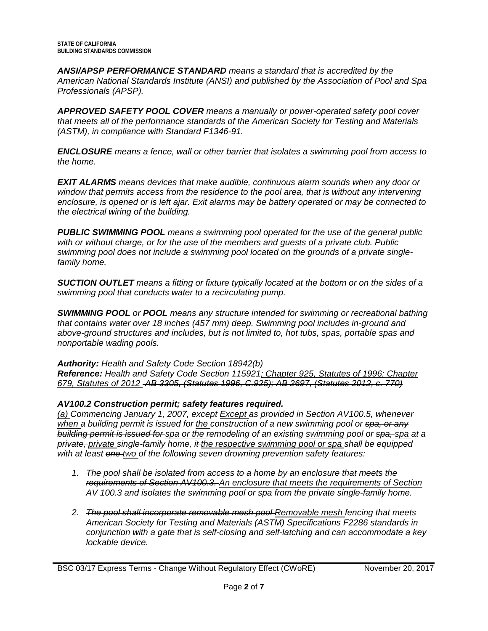*ANSI/APSP PERFORMANCE STANDARD means a standard that is accredited by the American National Standards Institute (ANSI) and published by the Association of Pool and Spa Professionals (APSP).*

*APPROVED SAFETY POOL COVER means a manually or power-operated safety pool cover that meets all of the performance standards of the American Society for Testing and Materials (ASTM), in compliance with Standard F1346-91.*

*ENCLOSURE means a fence, wall or other barrier that isolates a swimming pool from access to the home.*

*EXIT ALARMS means devices that make audible, continuous alarm sounds when any door or window that permits access from the residence to the pool area, that is without any intervening enclosure, is opened or is left ajar. Exit alarms may be battery operated or may be connected to the electrical wiring of the building.*

*PUBLIC SWIMMING POOL means a swimming pool operated for the use of the general public with or without charge, or for the use of the members and guests of a private club. Public swimming pool does not include a swimming pool located on the grounds of a private singlefamily home.*

*SUCTION OUTLET means a fitting or fixture typically located at the bottom or on the sides of a swimming pool that conducts water to a recirculating pump.*

*SWIMMING POOL or POOL means any structure intended for swimming or recreational bathing that contains water over 18 inches (457 mm) deep. Swimming pool includes in-ground and above-ground structures and includes, but is not limited to, hot tubs, spas, portable spas and nonportable wading pools.*

# *Authority: Health and Safety Code Section 18942(b)*

*Reference: Health and Safety Code Section 115921; Chapter 925, Statutes of 1996; Chapter 679, Statutes of 2012 AB 3305, (Statutes 1996, C.925); AB 2697, (Statutes 2012, c. 770)*

# *AV100.2 Construction permit; safety features required.*

*(a) Commencing January 1, 2007, except Except as provided in Section AV100.5, whenever when a building permit is issued for the construction of a new swimming pool or spa, or any building permit is issued for spa or the remodeling of an existing swimming pool or spa, spa at a private, private single-family home, it the respective swimming pool or spa shall be equipped with at least one two of the following seven drowning prevention safety features:*

- *1. The pool shall be isolated from access to a home by an enclosure that meets the requirements of Section AV100.3. An enclosure that meets the requirements of Section AV 100.3 and isolates the swimming pool or spa from the private single-family home.*
- *2. The pool shall incorporate removable mesh pool Removable mesh fencing that meets American Society for Testing and Materials (ASTM) Specifications F2286 standards in conjunction with a gate that is self-closing and self-latching and can accommodate a key lockable device.*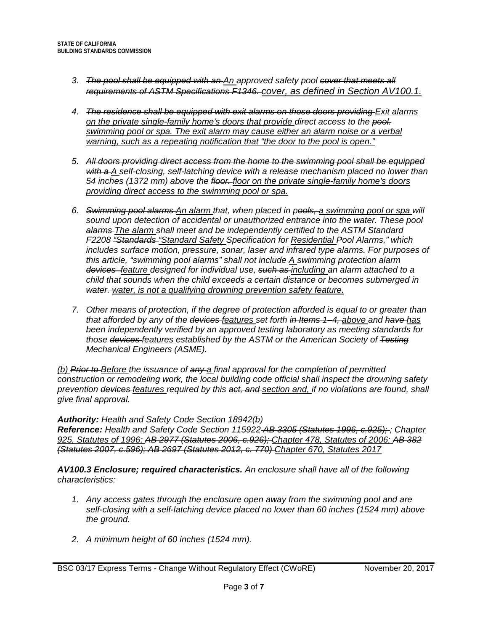- *3. The pool shall be equipped with an An approved safety pool cover that meets all requirements of ASTM Specifications F1346. cover, as defined in Section AV100.1.*
- *4. The residence shall be equipped with exit alarms on those doors providing Exit alarms on the private single-family home's doors that provide direct access to the pool. swimming pool or spa. The exit alarm may cause either an alarm noise or a verbal warning, such as a repeating notification that "the door to the pool is open."*
- *5. All doors providing direct access from the home to the swimming pool shall be equipped with a A self-closing, self-latching device with a release mechanism placed no lower than 54 inches (1372 mm) above the floor. floor on the private single-family home's doors providing direct access to the swimming pool or spa.*
- *6. Swimming pool alarms An alarm that, when placed in pools, a swimming pool or spa will sound upon detection of accidental or unauthorized entrance into the water. These pool alarms The alarm shall meet and be independently certified to the ASTM Standard F2208 "Standards "Standard Safety Specification for Residential Pool Alarms," which includes surface motion, pressure, sonar, laser and infrared type alarms. For purposes of this article, "swimming pool alarms" shall not include A swimming protection alarm devices feature designed for individual use, such as including an alarm attached to a child that sounds when the child exceeds a certain distance or becomes submerged in water. water, is not a qualifying drowning prevention safety feature.*
- *7. Other means of protection, if the degree of protection afforded is equal to or greater than that afforded by any of the devices features set forth in Items 1–4, above and have has been independently verified by an approved testing laboratory as meeting standards for those devices features established by the ASTM or the American Society of Testing Mechanical Engineers (ASME).*

*(b) Prior to Before the issuance of any a final approval for the completion of permitted construction or remodeling work, the local building code official shall inspect the drowning safety prevention devices features required by this act, and section and, if no violations are found, shall give final approval.*

*Authority: Health and Safety Code Section 18942(b)*

*Reference: Health and Safety Code Section 115922 AB 3305 (Statutes 1996, c.925); ; Chapter 925, Statutes of 1996; AB 2977 (Statutes 2006, c.926); Chapter 478, Statutes of 2006; AB 382 (Statutes 2007, c.596); AB 2697 (Statutes 2012, c. 770) Chapter 670, Statutes 2017*

*AV100.3 Enclosure; required characteristics. An enclosure shall have all of the following characteristics:*

- *1. Any access gates through the enclosure open away from the swimming pool and are self-closing with a self-latching device placed no lower than 60 inches (1524 mm) above the ground.*
- *2. A minimum height of 60 inches (1524 mm).*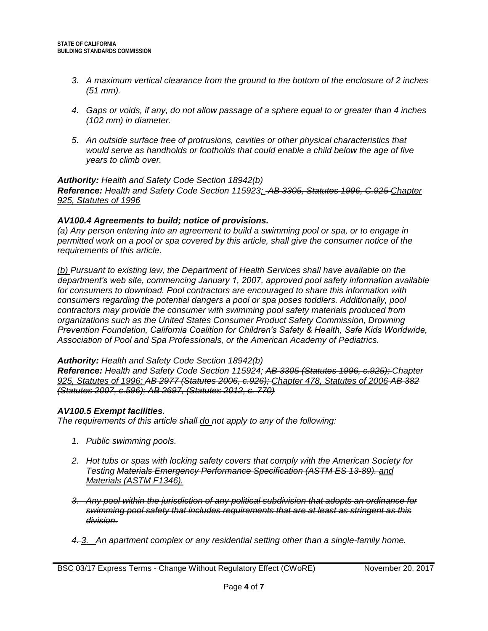- *3. A maximum vertical clearance from the ground to the bottom of the enclosure of 2 inches (51 mm).*
- *4. Gaps or voids, if any, do not allow passage of a sphere equal to or greater than 4 inches (102 mm) in diameter.*
- *5. An outside surface free of protrusions, cavities or other physical characteristics that would serve as handholds or footholds that could enable a child below the age of five years to climb over.*

*Reference: Health and Safety Code Section 115923; AB 3305, Statutes 1996, C.925 Chapter 925, Statutes of 1996*

## *AV100.4 Agreements to build; notice of provisions.*

*(a) Any person entering into an agreement to build a swimming pool or spa, or to engage in permitted work on a pool or spa covered by this article, shall give the consumer notice of the requirements of this article.*

*(b) Pursuant to existing law, the Department of Health Services shall have available on the department′s web site, commencing January 1, 2007, approved pool safety information available for consumers to download. Pool contractors are encouraged to share this information with consumers regarding the potential dangers a pool or spa poses toddlers. Additionally, pool contractors may provide the consumer with swimming pool safety materials produced from organizations such as the United States Consumer Product Safety Commission, Drowning Prevention Foundation, California Coalition for Children′s Safety & Health, Safe Kids Worldwide, Association of Pool and Spa Professionals, or the American Academy of Pediatrics.*

#### *Authority: Health and Safety Code Section 18942(b)*

*Reference: Health and Safety Code Section 115924; AB 3305 (Statutes 1996, c.925); Chapter 925, Statutes of 1996; AB 2977 (Statutes 2006, c.926); Chapter 478, Statutes of 2006 AB 382 (Statutes 2007, c.596); AB 2697, (Statutes 2012, c. 770)*

# *AV100.5 Exempt facilities.*

*The requirements of this article shall do not apply to any of the following:*

- *1. Public swimming pools.*
- *2. Hot tubs or spas with locking safety covers that comply with the American Society for Testing Materials Emergency Performance Specification (ASTM ES 13-89). and Materials (ASTM F1346).*
- *3. Any pool within the jurisdiction of any political subdivision that adopts an ordinance for swimming pool safety that includes requirements that are at least as stringent as this division.*
- *4. 3. An apartment complex or any residential setting other than a single-family home.*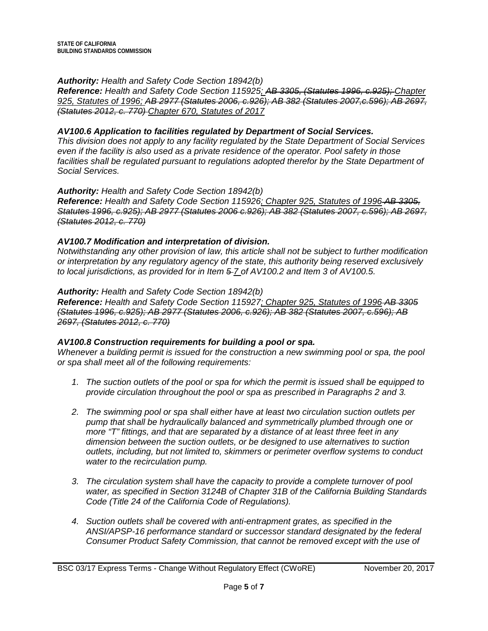*Reference: Health and Safety Code Section 115925; AB 3305, (Statutes 1996, c.925); Chapter 925, Statutes of 1996; AB 2977 (Statutes 2006, c.926); AB 382 (Statutes 2007,c.596); AB 2697, (Statutes 2012, c. 770) Chapter 670, Statutes of 2017*

## *AV100.6 Application to facilities regulated by Department of Social Services.*

*This division does not apply to any facility regulated by the State Department of Social Services even if the facility is also used as a private residence of the operator. Pool safety in those*  facilities shall be regulated pursuant to regulations adopted therefor by the State Department of *Social Services.*

#### *Authority: Health and Safety Code Section 18942(b)*

*Reference: Health and Safety Code Section 115926; Chapter 925, Statutes of 1996 AB 3305, Statutes 1996, c.925); AB 2977 (Statutes 2006 c.926); AB 382 (Statutes 2007, c.596); AB 2697, (Statutes 2012, c. 770)*

## *AV100.7 Modification and interpretation of division.*

*Notwithstanding any other provision of law, this article shall not be subject to further modification or interpretation by any regulatory agency of the state, this authority being reserved exclusively to local jurisdictions, as provided for in Item 5 7 of AV100.2 and Item 3 of AV100.5.*

#### *Authority: Health and Safety Code Section 18942(b)*

**Reference:** Health and Safety Code Section 115927; Chapter 925, Statutes of 1996 AB 3305 *(Statutes 1996, c.925); AB 2977 (Statutes 2006, c.926); AB 382 (Statutes 2007, c.596); AB 2697, (Statutes 2012, c. 770)*

#### *AV100.8 Construction requirements for building a pool or spa.*

*Whenever a building permit is issued for the construction a new swimming pool or spa, the pool or spa shall meet all of the following requirements:*

- *1. The suction outlets of the pool or spa for which the permit is issued shall be equipped to provide circulation throughout the pool or spa as prescribed in Paragraphs 2 and 3.*
- *2. The swimming pool or spa shall either have at least two circulation suction outlets per pump that shall be hydraulically balanced and symmetrically plumbed through one or more "T" fittings, and that are separated by a distance of at least three feet in any dimension between the suction outlets, or be designed to use alternatives to suction outlets, including, but not limited to, skimmers or perimeter overflow systems to conduct water to the recirculation pump.*
- *3. The circulation system shall have the capacity to provide a complete turnover of pool water, as specified in Section 3124B of Chapter 31B of the California Building Standards Code (Title 24 of the California Code of Regulations).*
- *4. Suction outlets shall be covered with anti-entrapment grates, as specified in the ANSI/APSP-16 performance standard or successor standard designated by the federal Consumer Product Safety Commission, that cannot be removed except with the use of*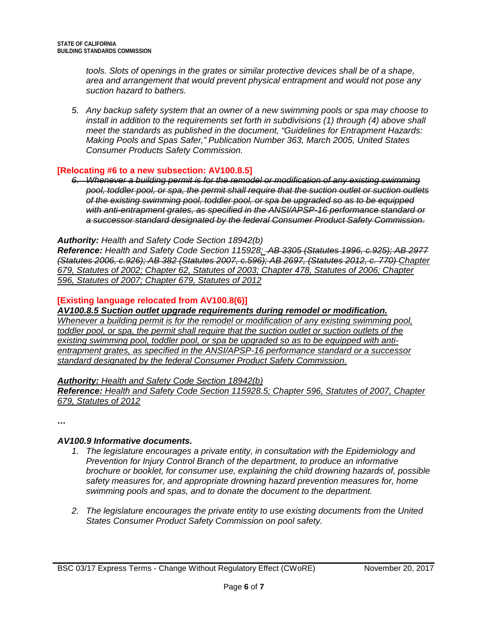*tools. Slots of openings in the grates or similar protective devices shall be of a shape, area and arrangement that would prevent physical entrapment and would not pose any suction hazard to bathers.*

*5. Any backup safety system that an owner of a new swimming pools or spa may choose to install in addition to the requirements set forth in subdivisions (1) through (4) above shall meet the standards as published in the document, "Guidelines for Entrapment Hazards: Making Pools and Spas Safer," Publication Number 363, March 2005, United States Consumer Products Safety Commission.*

## **[Relocating #6 to a new subsection: AV100.8.5]**

*6. Whenever a building permit is for the remodel or modification of any existing swimming pool, toddler pool, or spa, the permit shall require that the suction outlet or suction outlets of the existing swimming pool, toddler pool, or spa be upgraded so as to be equipped with anti-entrapment grates, as specified in the ANSI/APSP-16 performance standard or a successor standard designated by the federal Consumer Product Safety Commission.*

## *Authority: Health and Safety Code Section 18942(b)*

*Reference: Health and Safety Code Section 115928; AB 3305 (Statutes 1996, c.925); AB 2977 (Statutes 2006, c.926); AB 382 (Statutes 2007, c.596); AB 2697, (Statutes 2012, c. 770) Chapter 679, Statutes of 2002; Chapter 62, Statutes of 2003; Chapter 478, Statutes of 2006; Chapter 596, Statutes of 2007; Chapter 679, Statutes of 2012*

## **[Existing language relocated from AV100.8(6)]**

# *AV100.8.5 Suction outlet upgrade requirements during remodel or modification.*

*Whenever a building permit is for the remodel or modification of any existing swimming pool, toddler pool, or spa, the permit shall require that the suction outlet or suction outlets of the existing swimming pool, toddler pool, or spa be upgraded so as to be equipped with antientrapment grates, as specified in the ANSI/APSP-16 performance standard or a successor standard designated by the federal Consumer Product Safety Commission.*

#### *Authority: Health and Safety Code Section 18942(b)*

#### *Reference: Health and Safety Code Section 115928.5; Chapter 596, Statutes of 2007, Chapter 679, Statutes of 2012*

*…*

# *AV100.9 Informative documents.*

- *1. The legislature encourages a private entity, in consultation with the Epidemiology and Prevention for Injury Control Branch of the department, to produce an informative brochure or booklet, for consumer use, explaining the child drowning hazards of, possible safety measures for, and appropriate drowning hazard prevention measures for, home swimming pools and spas, and to donate the document to the department.*
- *2. The legislature encourages the private entity to use existing documents from the United States Consumer Product Safety Commission on pool safety.*